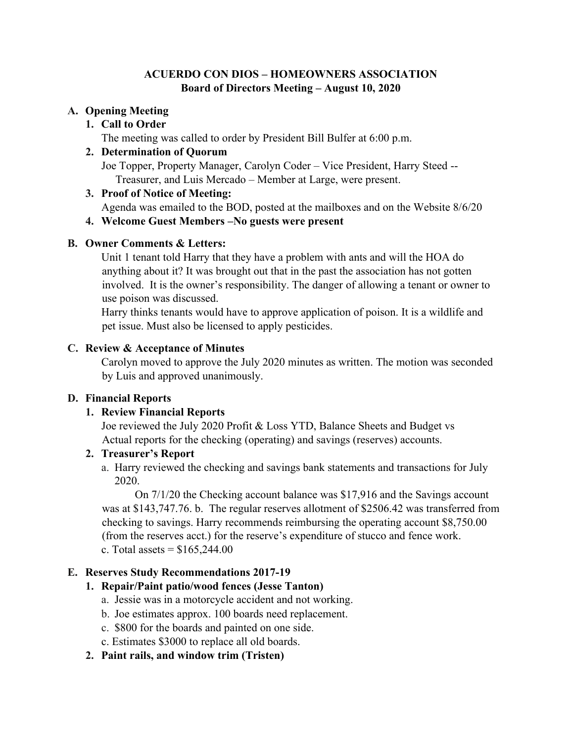#### **ACUERDO CON DIOS – HOMEOWNERS ASSOCIATION Board of Directors Meeting – August 10, 2020**

## **A. Opening Meeting**

#### **1. Call to Order**

The meeting was called to order by President Bill Bulfer at 6:00 p.m.

#### **2. Determination of Quorum**

Joe Topper, Property Manager, Carolyn Coder – Vice President, Harry Steed -- Treasurer, and Luis Mercado – Member at Large, were present.

#### **3. Proof of Notice of Meeting:**

Agenda was emailed to the BOD, posted at the mailboxes and on the Website 8/6/20

#### **4. Welcome Guest Members –No guests were present**

#### **B. Owner Comments & Letters:**

Unit 1 tenant told Harry that they have a problem with ants and will the HOA do anything about it? It was brought out that in the past the association has not gotten involved. It is the owner's responsibility. The danger of allowing a tenant or owner to use poison was discussed.

Harry thinks tenants would have to approve application of poison. It is a wildlife and pet issue. Must also be licensed to apply pesticides.

#### **C. Review & Acceptance of Minutes**

Carolyn moved to approve the July 2020 minutes as written. The motion was seconded by Luis and approved unanimously.

## **D. Financial Reports**

## **1. Review Financial Reports**

Joe reviewed the July 2020 Profit & Loss YTD, Balance Sheets and Budget vs Actual reports for the checking (operating) and savings (reserves) accounts.

## **2. Treasurer's Report**

a. Harry reviewed the checking and savings bank statements and transactions for July 2020.

On 7/1/20 the Checking account balance was \$17,916 and the Savings account was at \$143,747.76. b. The regular reserves allotment of \$2506.42 was transferred from checking to savings. Harry recommends reimbursing the operating account \$8,750.00 (from the reserves acct.) for the reserve's expenditure of stucco and fence work. c. Total assets  $=$  \$165,244.00

## **E. Reserves Study Recommendations 2017-19**

## **1. Repair/Paint patio/wood fences (Jesse Tanton)**

- a. Jessie was in a motorcycle accident and not working.
- b. Joe estimates approx. 100 boards need replacement.
- c. \$800 for the boards and painted on one side.
- c. Estimates \$3000 to replace all old boards.
- **2. Paint rails, and window trim (Tristen)**